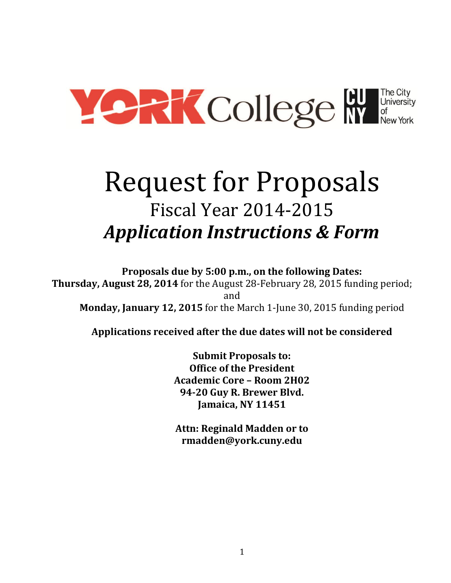

# Request for Proposals Fiscal Year 2014-2015 *Application Instructions & Form*

**Proposals due by 5:00 p.m., on the following Dates: Thursday, August 28, 2014** for the August 28-February 28, 2015 funding period; and **Monday, January 12, 2015** for the March 1-June 30, 2015 funding period

**Applications received after the due dates will not be considered**

**Submit Proposals to: Office of the President Academic Core – Room 2H02 94-20 Guy R. Brewer Blvd. Jamaica, NY 11451**

**Attn: Reginald Madden or to rmadden@york.cuny.edu**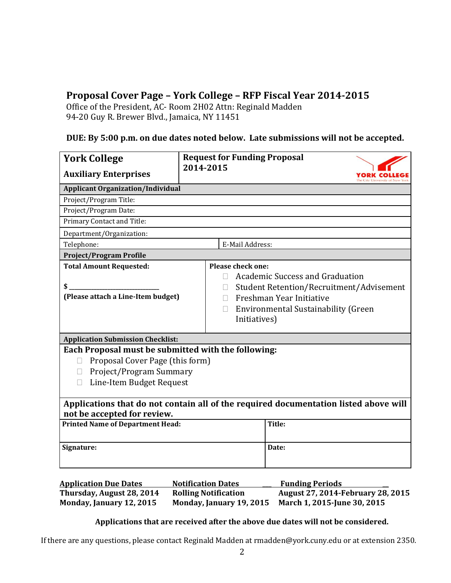# **Proposal Cover Page – York College – RFP Fiscal Year 2014-2015**

Office of the President, AC- Room 2H02 Attn: Reginald Madden 94-20 Guy R. Brewer Blvd., Jamaica, NY 11451

## **DUE: By 5:00 p.m. on due dates noted below. Late submissions will not be accepted.**

| <b>York College</b>                                                                                                                                                     | <b>Request for Funding Proposal</b> |                                                                                                                                                                       |                        |
|-------------------------------------------------------------------------------------------------------------------------------------------------------------------------|-------------------------------------|-----------------------------------------------------------------------------------------------------------------------------------------------------------------------|------------------------|
| <b>Auxiliary Enterprises</b>                                                                                                                                            | 2014-2015                           |                                                                                                                                                                       | City University of Nev |
| <b>Applicant Organization/Individual</b>                                                                                                                                |                                     |                                                                                                                                                                       |                        |
| Project/Program Title:                                                                                                                                                  |                                     |                                                                                                                                                                       |                        |
| Project/Program Date:                                                                                                                                                   |                                     |                                                                                                                                                                       |                        |
| Primary Contact and Title:                                                                                                                                              |                                     |                                                                                                                                                                       |                        |
| Department/Organization:                                                                                                                                                |                                     |                                                                                                                                                                       |                        |
| Telephone:<br>E-Mail Address:                                                                                                                                           |                                     |                                                                                                                                                                       |                        |
| <b>Project/Program Profile</b>                                                                                                                                          |                                     |                                                                                                                                                                       |                        |
| <b>Total Amount Requested:</b><br>\$<br>(Please attach a Line-Item budget)                                                                                              | П<br>П                              | Academic Success and Graduation<br>Student Retention/Recruitment/Advisement<br>Freshman Year Initiative<br><b>Environmental Sustainability (Green</b><br>Initiatives) |                        |
| <b>Application Submission Checklist:</b>                                                                                                                                |                                     |                                                                                                                                                                       |                        |
| Each Proposal must be submitted with the following:<br>Proposal Cover Page (this form)<br>$\mathbf{L}$<br>Project/Program Summary<br>П<br>Line-Item Budget Request<br>П |                                     |                                                                                                                                                                       |                        |
| Applications that do not contain all of the required documentation listed above will<br>not be accepted for review.                                                     |                                     |                                                                                                                                                                       |                        |
| <b>Printed Name of Department Head:</b>                                                                                                                                 |                                     | Title:                                                                                                                                                                |                        |
| Signature:                                                                                                                                                              |                                     | Date:                                                                                                                                                                 |                        |

| <b>Application Due Dates</b> | <b>Notification Dates</b>   | <b>Funding Periods</b>                   |
|------------------------------|-----------------------------|------------------------------------------|
| Thursday, August 28, 2014    | <b>Rolling Notification</b> | <b>August 27, 2014-February 28, 2015</b> |
| Monday, January 12, 2015     | Monday, January 19, 2015    | March 1, 2015-June 30, 2015              |

## **Applications that are received after the above due dates will not be considered.**

If there are any questions, please contact Reginald Madden at rmadden@york.cuny.edu or at extension 2350.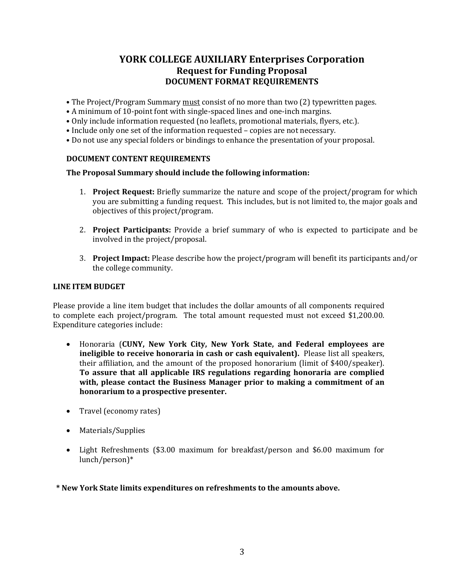# **YORK COLLEGE AUXILIARY Enterprises Corporation Request for Funding Proposal DOCUMENT FORMAT REQUIREMENTS**

- The Project/Program Summary <u>must</u> consist of no more than two (2) typewritten pages.
- A minimum of 10-point font with single-spaced lines and one-inch margins.
- Only include information requested (no leaflets, promotional materials, flyers, etc.).
- Include only one set of the information requested copies are not necessary.
- Do not use any special folders or bindings to enhance the presentation of your proposal.

## **DOCUMENT CONTENT REQUIREMENTS**

## **The Proposal Summary should include the following information:**

- 1. **Project Request:** Briefly summarize the nature and scope of the project/program for which you are submitting a funding request. This includes, but is not limited to, the major goals and objectives of this project/program.
- 2. **Project Participants:** Provide a brief summary of who is expected to participate and be involved in the project/proposal.
- 3. **Project Impact:** Please describe how the project/program will benefit its participants and/or the college community.

## **LINE ITEM BUDGET**

Please provide a line item budget that includes the dollar amounts of all components required to complete each project/program. The total amount requested must not exceed \$1,200.00. Expenditure categories include:

- Honoraria (**CUNY, New York City, New York State, and Federal employees are ineligible to receive honoraria in cash or cash equivalent).** Please list all speakers, their affiliation, and the amount of the proposed honorarium (limit of \$400/speaker). **To assure that all applicable IRS regulations regarding honoraria are complied with, please contact the Business Manager prior to making a commitment of an honorarium to a prospective presenter.**
- Travel (economy rates)
- Materials/Supplies
- Light Refreshments (\$3.00 maximum for breakfast/person and \$6.00 maximum for lunch/person)\*

**\* New York State limits expenditures on refreshments to the amounts above.**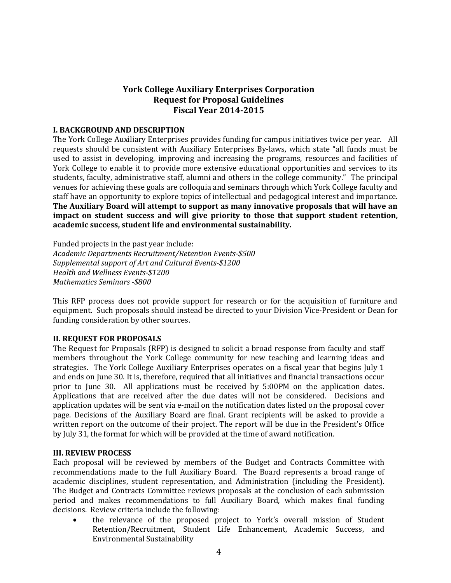## **York College Auxiliary Enterprises Corporation Request for Proposal Guidelines Fiscal Year 2014-2015**

## **I. BACKGROUND AND DESCRIPTION**

The York College Auxiliary Enterprises provides funding for campus initiatives twice per year. All requests should be consistent with Auxiliary Enterprises By-laws, which state "all funds must be used to assist in developing, improving and increasing the programs, resources and facilities of York College to enable it to provide more extensive educational opportunities and services to its students, faculty, administrative staff, alumni and others in the college community."The principal venues for achieving these goals are colloquia and seminars through which York College faculty and staff have an opportunity to explore topics of intellectual and pedagogical interest and importance. **The Auxiliary Board will attempt to support as many innovative proposals that will have an impact on student success and will give priority to those that support student retention, academic success, student life and environmental sustainability.**

Funded projects in the past year include: *Academic Departments Recruitment/Retention Events-\$500 Supplemental support of Art and Cultural Events-\$1200 Health and Wellness Events-\$1200 Mathematics Seminars -\$800* 

This RFP process does not provide support for research or for the acquisition of furniture and equipment. Such proposals should instead be directed to your Division Vice-President or Dean for funding consideration by other sources.

## **II. REQUEST FOR PROPOSALS**

The Request for Proposals (RFP) is designed to solicit a broad response from faculty and staff members throughout the York College community for new teaching and learning ideas and strategies. The York College Auxiliary Enterprises operates on a fiscal year that begins July 1 and ends on June 30. It is, therefore, required that all initiatives and financial transactions occur prior to June 30. All applications must be received by 5:00PM on the application dates. Applications that are received after the due dates will not be considered. Decisions and application updates will be sent via e-mail on the notification dates listed on the proposal cover page. Decisions of the Auxiliary Board are final. Grant recipients will be asked to provide a written report on the outcome of their project. The report will be due in the President's Office by July 31, the format for which will be provided at the time of award notification.

## **III. REVIEW PROCESS**

Each proposal will be reviewed by members of the Budget and Contracts Committee with recommendations made to the full Auxiliary Board. The Board represents a broad range of academic disciplines, student representation, and Administration (including the President). The Budget and Contracts Committee reviews proposals at the conclusion of each submission period and makes recommendations to full Auxiliary Board, which makes final funding decisions. Review criteria include the following:

 the relevance of the proposed project to York's overall mission of Student Retention/Recruitment, Student Life Enhancement, Academic Success, and Environmental Sustainability